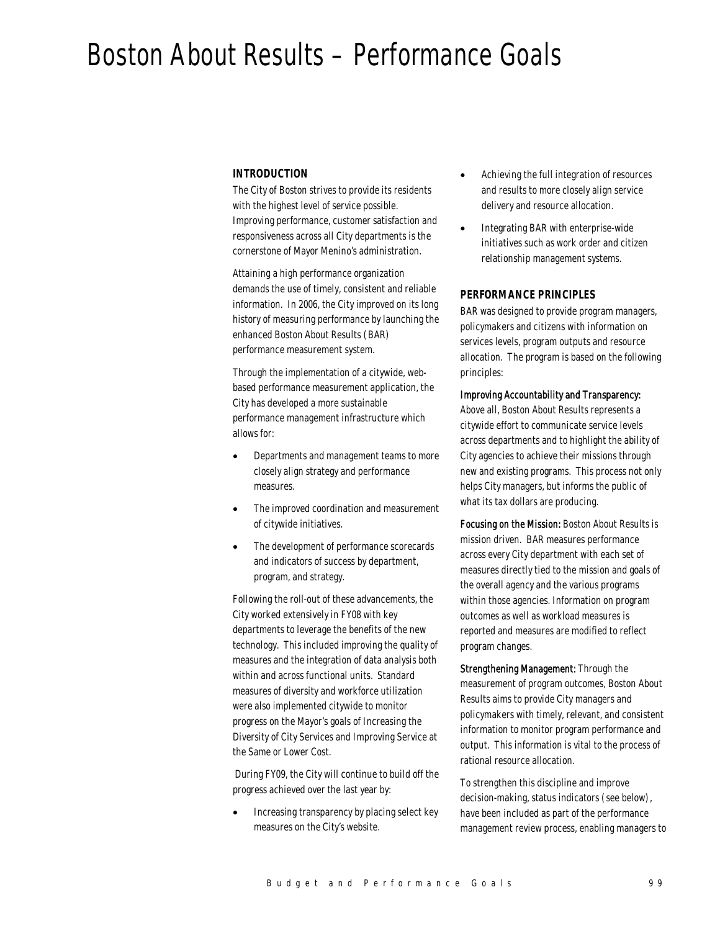# Boston About Results – Performance Goals

### *INTRODUCTION*

The City of Boston strives to provide its residents with the highest level of service possible. Improving performance, customer satisfaction and responsiveness across all City departments is the cornerstone of Mayor Menino's administration.

Attaining a high performance organization demands the use of timely, consistent and reliable information. In 2006, the City improved on its long history of measuring performance by launching the enhanced Boston About Results (BAR) performance measurement system.

Through the implementation of a citywide, webbased performance measurement application, the City has developed a more sustainable performance management infrastructure which allows for:

- Departments and management teams to more closely align strategy and performance measures.
- The improved coordination and measurement of citywide initiatives.
- The development of performance scorecards and indicators of success by department, program, and strategy.

Following the roll-out of these advancements, the City worked extensively in FY08 with key departments to leverage the benefits of the new technology. This included improving the quality of measures and the integration of data analysis both within and across functional units. Standard measures of diversity and workforce utilization were also implemented citywide to monitor progress on the Mayor's goals of Increasing the Diversity of City Services and Improving Service at the Same or Lower Cost.

 During FY09, the City will continue to build off the progress achieved over the last year by:

• Increasing transparency by placing select key measures on the City's website.

- Achieving the full integration of resources and results to more closely align service delivery and resource allocation.
- Integrating BAR with enterprise-wide initiatives such as work order and citizen relationship management systems.

### *PERFORMANCE PRINCIPLES*

BAR was designed to provide program managers, policymakers and citizens with information on services levels, program outputs and resource allocation. The program is based on the following principles:

#### Improving Accountability and Transparency:

Above all, Boston About Results represents a citywide effort to communicate service levels across departments and to highlight the ability of City agencies to achieve their missions through new and existing programs. This process not only helps City managers, but informs the public of what its tax dollars are producing.

Focusing on the Mission: Boston About Results is mission driven. BAR measures performance across every City department with each set of measures directly tied to the mission and goals of the overall agency and the various programs within those agencies. Information on program outcomes as well as workload measures is reported and measures are modified to reflect program changes.

Strengthening Management: Through the measurement of program outcomes, Boston About Results aims to provide City managers and policymakers with timely, relevant, and consistent information to monitor program performance and output. This information is vital to the process of rational resource allocation.

To strengthen this discipline and improve decision-making, status indicators (see below), have been included as part of the performance management review process, enabling managers to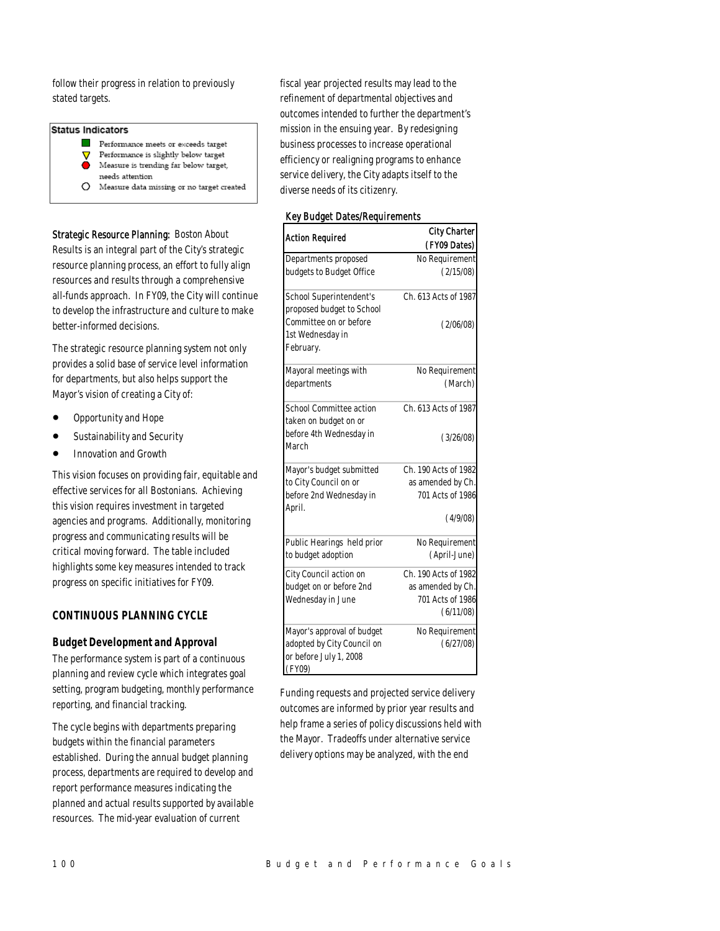follow their progress in relation to previously stated targets.

# **Status Indicators**

 $\mathcal{L}$ Performance meets or exceeds target

- Performance is slightly below target Δ Measure is trending far below target,  $\bullet$ 
	- needs attention
- $O$  Measure data missing or no target created

Strategic Resource Planning: Boston About Results is an integral part of the City's strategic resource planning process, an effort to fully align resources and results through a comprehensive all-funds approach. In FY09, the City will continue to develop the infrastructure and culture to make better-informed decisions.

The strategic resource planning system not only provides a solid base of service level information for departments, but also helps support the Mayor's vision of creating a City of:

- Opportunity and Hope
- Sustainability and Security
- Innovation and Growth

This vision focuses on providing fair, equitable and effective services for all Bostonians. Achieving this vision requires investment in targeted agencies and programs. Additionally, monitoring progress and communicating results will be critical moving forward. The table included highlights some key measures intended to track progress on specific initiatives for FY09.

# *CONTINUOUS PLANNING CYCLE*

# *Budget Development and Approval*

The performance system is part of a continuous planning and review cycle which integrates goal setting, program budgeting, monthly performance reporting, and financial tracking.

The cycle begins with departments preparing budgets within the financial parameters established. During the annual budget planning process, departments are required to develop and report performance measures indicating the planned and actual results supported by available resources. The mid-year evaluation of current

fiscal year projected results may lead to the refinement of departmental objectives and outcomes intended to further the department's mission in the ensuing year. By redesigning business processes to increase operational efficiency or realigning programs to enhance service delivery, the City adapts itself to the diverse needs of its citizenry.

#### Key Budget Dates/Requirements

| <b>City Charter</b>                        |                      |
|--------------------------------------------|----------------------|
| Action Required                            | (FY09 Dates)         |
| Departments proposed                       | No Requirement       |
| budgets to Budget Office                   | (2/15/08)            |
| School Superintendent's                    | Ch. 613 Acts of 1987 |
| proposed budget to School                  |                      |
| Committee on or before<br>1st Wednesday in | (2/06/08)            |
| February.                                  |                      |
|                                            |                      |
| Mayoral meetings with                      | No Requirement       |
| departments                                | (March)              |
| <b>School Committee action</b>             | Ch. 613 Acts of 1987 |
| taken on budget on or                      |                      |
| before 4th Wednesday in                    | (3/26/08)            |
| March                                      |                      |
| Mayor's budget submitted                   | Ch. 190 Acts of 1982 |
| to City Council on or                      | as amended by Ch.    |
| before 2nd Wednesday in                    | 701 Acts of 1986     |
| April.                                     | (4/9/08)             |
|                                            |                      |
| Public Hearings held prior                 | No Requirement       |
| to budget adoption                         | (April-June)         |
| City Council action on                     | Ch. 190 Acts of 1982 |
| budget on or before 2nd                    | as amended by Ch.    |
| Wednesday in June                          | 701 Acts of 1986     |
|                                            | (6/11/08)            |
| Mayor's approval of budget                 | No Requirement       |
| adopted by City Council on                 | (6/27/08)            |
| or before July 1, 2008                     |                      |
| (FY09)                                     |                      |

Funding requests and projected service delivery outcomes are informed by prior year results and help frame a series of policy discussions held with the Mayor. Tradeoffs under alternative service delivery options may be analyzed, with the end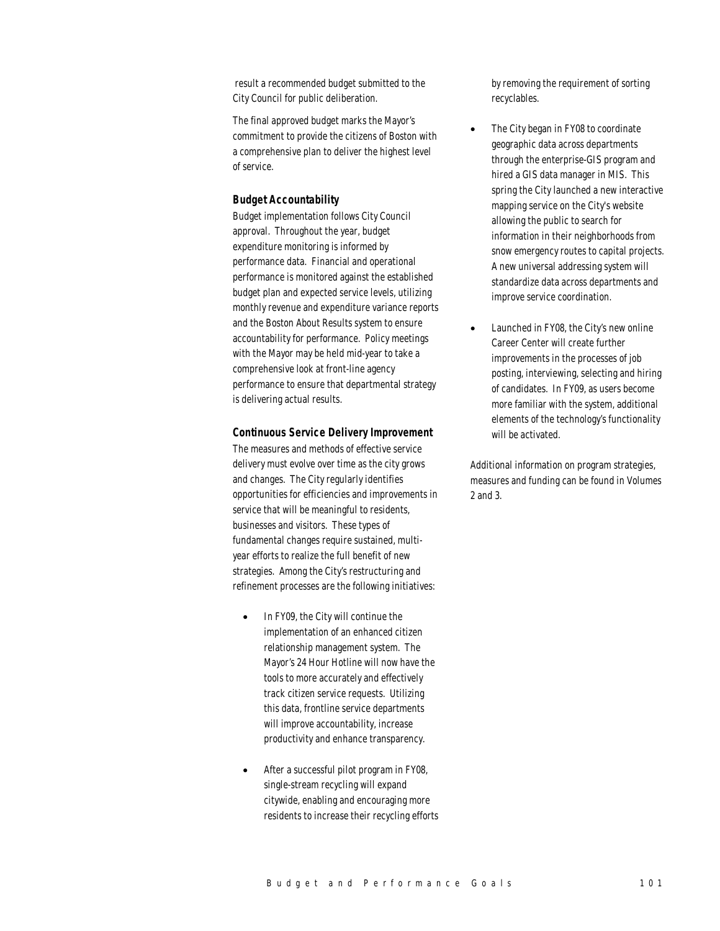result a recommended budget submitted to the City Council for public deliberation.

The final approved budget marks the Mayor's commitment to provide the citizens of Boston with a comprehensive plan to deliver the highest level of service.

#### *Budget Accountability*

Budget implementation follows City Council approval. Throughout the year, budget expenditure monitoring is informed by performance data. Financial and operational performance is monitored against the established budget plan and expected service levels, utilizing monthly revenue and expenditure variance reports and the Boston About Results system to ensure accountability for performance. Policy meetings with the Mayor may be held mid-year to take a comprehensive look at front-line agency performance to ensure that departmental strategy is delivering actual results.

#### *Continuous Service Delivery Improvement*

The measures and methods of effective service delivery must evolve over time as the city grows and changes. The City regularly identifies opportunities for efficiencies and improvements in service that will be meaningful to residents, businesses and visitors. These types of fundamental changes require sustained, multiyear efforts to realize the full benefit of new strategies. Among the City's restructuring and refinement processes are the following initiatives:

- In FY09, the City will continue the implementation of an enhanced citizen relationship management system. The Mayor's 24 Hour Hotline will now have the tools to more accurately and effectively track citizen service requests. Utilizing this data, frontline service departments will improve accountability, increase productivity and enhance transparency.
- After a successful pilot program in FY08, single-stream recycling will expand citywide, enabling and encouraging more residents to increase their recycling efforts

by removing the requirement of sorting recyclables.

- The City began in FY08 to coordinate geographic data across departments through the enterprise-GIS program and hired a GIS data manager in MIS. This spring the City launched a new interactive mapping service on the City's website allowing the public to search for information in their neighborhoods from snow emergency routes to capital projects. A new universal addressing system will standardize data across departments and improve service coordination.
- Launched in FY08, the City's new online Career Center will create further improvements in the processes of job posting, interviewing, selecting and hiring of candidates. In FY09, as users become more familiar with the system, additional elements of the technology's functionality will be activated.

Additional information on program strategies, measures and funding can be found in Volumes 2 and 3.